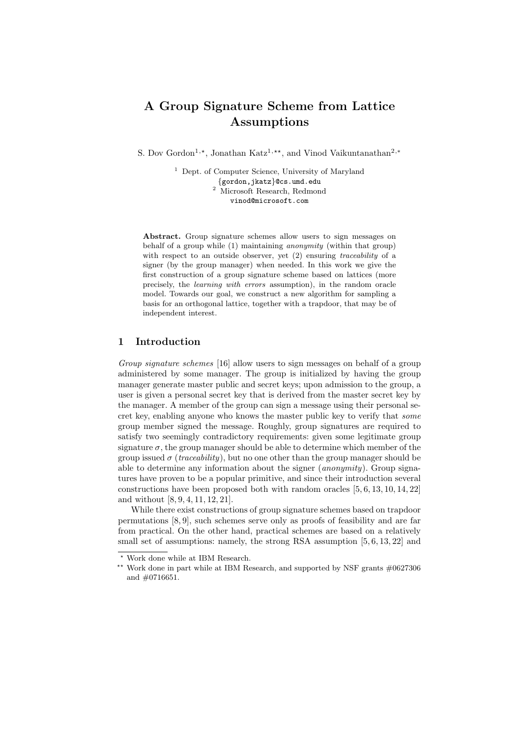# A Group Signature Scheme from Lattice Assumptions

S. Dov Gordon<sup>1,∗</sup>, Jonathan Katz<sup>1,∗∗</sup>, and Vinod Vaikuntanathan<sup>2,∗</sup>

<sup>1</sup> Dept. of Computer Science, University of Maryland {gordon,jkatz}@cs.umd.edu <sup>2</sup> Microsoft Research, Redmond vinod@microsoft.com

Abstract. Group signature schemes allow users to sign messages on behalf of a group while (1) maintaining anonymity (within that group) with respect to an outside observer, yet (2) ensuring *traceability* of a signer (by the group manager) when needed. In this work we give the first construction of a group signature scheme based on lattices (more precisely, the learning with errors assumption), in the random oracle model. Towards our goal, we construct a new algorithm for sampling a basis for an orthogonal lattice, together with a trapdoor, that may be of independent interest.

# 1 Introduction

*Group signature schemes* [16] allow users to sign messages on behalf of a group administered by some manager. The group is initialized by having the group manager generate master public and secret keys; upon admission to the group, a user is given a personal secret key that is derived from the master secret key by the manager. A member of the group can sign a message using their personal secret key, enabling anyone who knows the master public key to verify that *some* group member signed the message. Roughly, group signatures are required to satisfy two seemingly contradictory requirements: given some legitimate group signature  $\sigma$ , the group manager should be able to determine which member of the group issued  $\sigma$  (*traceability*), but no one other than the group manager should be able to determine any information about the signer (*anonymity*). Group signatures have proven to be a popular primitive, and since their introduction several constructions have been proposed both with random oracles  $[5, 6, 13, 10, 14, 22]$ and without [8, 9, 4, 11, 12, 21].

While there exist constructions of group signature schemes based on trapdoor permutations [8, 9], such schemes serve only as proofs of feasibility and are far from practical. On the other hand, practical schemes are based on a relatively small set of assumptions: namely, the strong RSA assumption [5, 6, 13, 22] and

<sup>⋆</sup> Work done while at IBM Research.

 $^{\star\star}$  Work done in part while at IBM Research, and supported by NSF grants  $\#0627306$ and #0716651.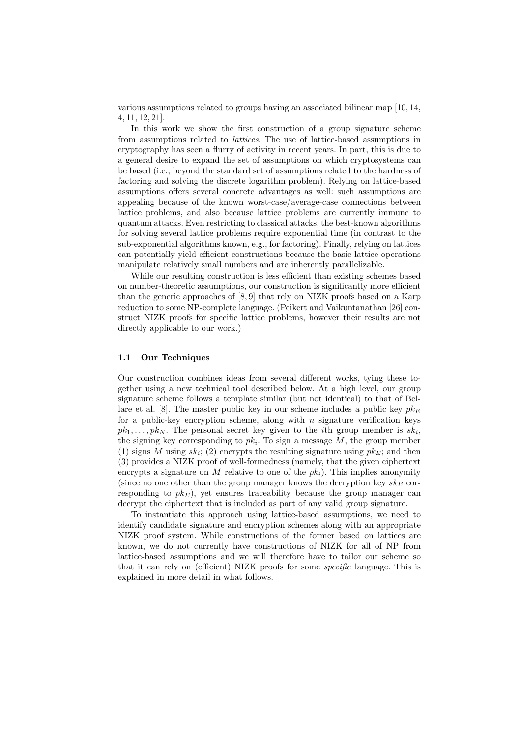various assumptions related to groups having an associated bilinear map [10, 14, 4, 11, 12, 21].

In this work we show the first construction of a group signature scheme from assumptions related to *lattices*. The use of lattice-based assumptions in cryptography has seen a flurry of activity in recent years. In part, this is due to a general desire to expand the set of assumptions on which cryptosystems can be based (i.e., beyond the standard set of assumptions related to the hardness of factoring and solving the discrete logarithm problem). Relying on lattice-based assumptions offers several concrete advantages as well: such assumptions are appealing because of the known worst-case/average-case connections between lattice problems, and also because lattice problems are currently immune to quantum attacks. Even restricting to classical attacks, the best-known algorithms for solving several lattice problems require exponential time (in contrast to the sub-exponential algorithms known, e.g., for factoring). Finally, relying on lattices can potentially yield efficient constructions because the basic lattice operations manipulate relatively small numbers and are inherently parallelizable.

While our resulting construction is less efficient than existing schemes based on number-theoretic assumptions, our construction is significantly more efficient than the generic approaches of [8, 9] that rely on NIZK proofs based on a Karp reduction to some NP-complete language. (Peikert and Vaikuntanathan [26] construct NIZK proofs for specific lattice problems, however their results are not directly applicable to our work.)

## 1.1 Our Techniques

Our construction combines ideas from several different works, tying these together using a new technical tool described below. At a high level, our group signature scheme follows a template similar (but not identical) to that of Bellare et al. [8]. The master public key in our scheme includes a public key  $p k_E$ for a public-key encryption scheme, along with  $n$  signature verification keys  $pk_1, \ldots, pk_N$ . The personal secret key given to the *i*th group member is  $sk_i$ , the signing key corresponding to  $pk_i$ . To sign a message  $M$ , the group member (1) signs M using  $sk_i$ ; (2) encrypts the resulting signature using  $pk_E$ ; and then (3) provides a NIZK proof of well-formedness (namely, that the given ciphertext encrypts a signature on M relative to one of the  $pk<sub>i</sub>$ ). This implies anonymity (since no one other than the group manager knows the decryption key  $sk_E$  corresponding to  $pk_E$ ), yet ensures traceability because the group manager can decrypt the ciphertext that is included as part of any valid group signature.

To instantiate this approach using lattice-based assumptions, we need to identify candidate signature and encryption schemes along with an appropriate NIZK proof system. While constructions of the former based on lattices are known, we do not currently have constructions of NIZK for all of NP from lattice-based assumptions and we will therefore have to tailor our scheme so that it can rely on (efficient) NIZK proofs for some *specific* language. This is explained in more detail in what follows.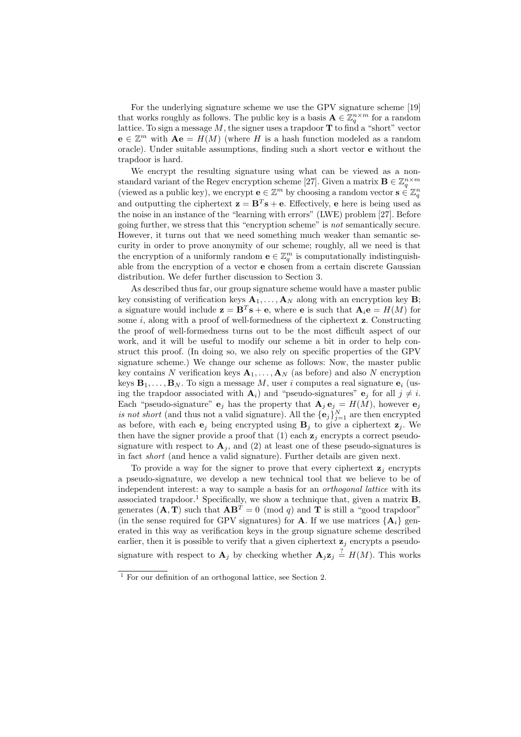For the underlying signature scheme we use the GPV signature scheme [19] that works roughly as follows. The public key is a basis  $A \in \mathbb{Z}_q^{n \times m}$  for a random lattice. To sign a message  $M$ , the signer uses a trapdoor  $T$  to find a "short" vector  $e \in \mathbb{Z}^m$  with  $Ae = H(M)$  (where H is a hash function modeled as a random oracle). Under suitable assumptions, finding such a short vector e without the trapdoor is hard.

We encrypt the resulting signature using what can be viewed as a nonstandard variant of the Regev encryption scheme [27]. Given a matrix  $\mathbf{B} \in \mathbb{Z}_q^{n \times m}$ (viewed as a public key), we encrypt  $\mathbf{e} \in \mathbb{Z}^m$  by choosing a random vector  $\mathbf{s} \in \mathbb{Z}_q^n$ and outputting the ciphertext  $\mathbf{z} = \mathbf{B}^T \mathbf{s} + \mathbf{e}$ . Effectively,  $\mathbf{e}$  here is being used as the noise in an instance of the "learning with errors" (LWE) problem [27]. Before going further, we stress that this "encryption scheme" is *not* semantically secure. However, it turns out that we need something much weaker than semantic security in order to prove anonymity of our scheme; roughly, all we need is that the encryption of a uniformly random  $\mathbf{e} \in \mathbb{Z}_q^m$  is computationally indistinguishable from the encryption of a vector e chosen from a certain discrete Gaussian distribution. We defer further discussion to Section 3.

As described thus far, our group signature scheme would have a master public key consisting of verification keys  $A_1, \ldots, A_N$  along with an encryption key **B**; a signature would include  $\mathbf{z} = \mathbf{B}^T \mathbf{s} + \mathbf{e}$ , where **e** is such that  $\mathbf{A}_i \mathbf{e} = H(M)$  for some  $i$ , along with a proof of well-formedness of the ciphertext  $z$ . Constructing the proof of well-formedness turns out to be the most difficult aspect of our work, and it will be useful to modify our scheme a bit in order to help construct this proof. (In doing so, we also rely on specific properties of the GPV signature scheme.) We change our scheme as follows: Now, the master public key contains N verification keys  $\mathbf{A}_1, \ldots, \mathbf{A}_N$  (as before) and also N encryption keys  $\mathbf{B}_1, \ldots, \mathbf{B}_N$ . To sign a message M, user i computes a real signature  $\mathbf{e}_i$  (using the trapdoor associated with  $A_i$ ) and "pseudo-signatures"  $e_j$  for all  $j \neq i$ . Each "pseudo-signature"  $e_j$  has the property that  $A_j e_j = H(M)$ , however  $e_j$ *is not short* (and thus not a valid signature). All the  $\{e_j\}_{j=1}^N$  are then encrypted as before, with each  $e_j$  being encrypted using  $B_j$  to give a ciphertext  $z_j$ . We then have the signer provide a proof that (1) each  $z_i$  encrypts a correct pseudosignature with respect to  $\mathbf{A}_i$ , and (2) at least one of these pseudo-signatures is in fact *short* (and hence a valid signature). Further details are given next.

To provide a way for the signer to prove that every ciphertext  $z_i$  encrypts a pseudo-signature, we develop a new technical tool that we believe to be of independent interest: a way to sample a basis for an *orthogonal lattice* with its associated trapdoor.<sup>1</sup> Specifically, we show a technique that, given a matrix  $B$ , generates  $(A, T)$  such that  $AB^T = 0 \pmod{q}$  and T is still a "good trapdoor" (in the sense required for GPV signatures) for **A**. If we use matrices  $\{A_i\}$  generated in this way as verification keys in the group signature scheme described earlier, then it is possible to verify that a given ciphertext  $z_i$  encrypts a pseudosignature with respect to  $\mathbf{A}_j$  by checking whether  $\mathbf{A}_j \mathbf{z}_j \stackrel{?}{=} H(M)$ . This works

<sup>1</sup> For our definition of an orthogonal lattice, see Section 2.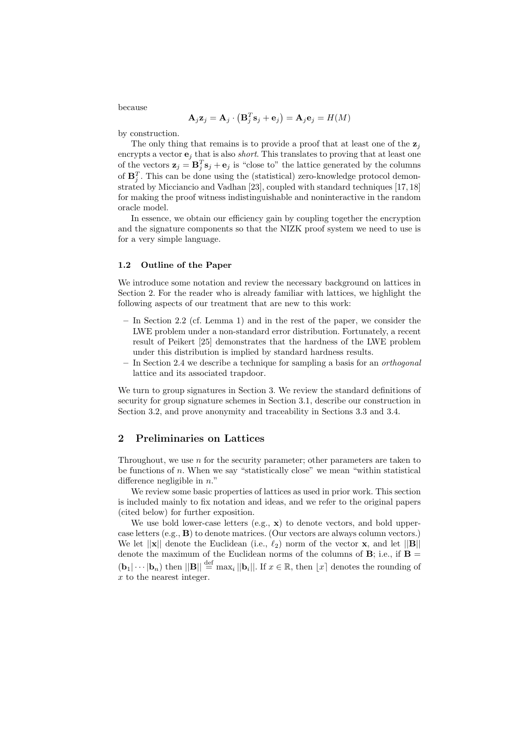because

$$
\mathbf{A}_j \mathbf{z}_j = \mathbf{A}_j \cdot \left( \mathbf{B}_j^T \mathbf{s}_j + \mathbf{e}_j \right) = \mathbf{A}_j \mathbf{e}_j = H(M)
$$

by construction.

The only thing that remains is to provide a proof that at least one of the  $z_i$ encrypts a vector  $e_i$  that is also *short*. This translates to proving that at least one of the vectors  $\mathbf{z}_j = \mathbf{B}_j^T \mathbf{s}_j + \mathbf{e}_j$  is "close to" the lattice generated by the columns of  $\mathbf{B}_j^T$ . This can be done using the (statistical) zero-knowledge protocol demonstrated by Micciancio and Vadhan [23], coupled with standard techniques [17, 18] for making the proof witness indistinguishable and noninteractive in the random oracle model.

In essence, we obtain our efficiency gain by coupling together the encryption and the signature components so that the NIZK proof system we need to use is for a very simple language.

#### 1.2 Outline of the Paper

We introduce some notation and review the necessary background on lattices in Section 2. For the reader who is already familiar with lattices, we highlight the following aspects of our treatment that are new to this work:

- In Section 2.2 (cf. Lemma 1) and in the rest of the paper, we consider the LWE problem under a non-standard error distribution. Fortunately, a recent result of Peikert [25] demonstrates that the hardness of the LWE problem under this distribution is implied by standard hardness results.
- In Section 2.4 we describe a technique for sampling a basis for an *orthogonal* lattice and its associated trapdoor.

We turn to group signatures in Section 3. We review the standard definitions of security for group signature schemes in Section 3.1, describe our construction in Section 3.2, and prove anonymity and traceability in Sections 3.3 and 3.4.

# 2 Preliminaries on Lattices

Throughout, we use  $n$  for the security parameter; other parameters are taken to be functions of  $n$ . When we say "statistically close" we mean "within statistical difference negligible in  $n$ ."

We review some basic properties of lattices as used in prior work. This section is included mainly to fix notation and ideas, and we refer to the original papers (cited below) for further exposition.

We use bold lower-case letters  $(e.g., x)$  to denote vectors, and bold uppercase letters (e.g., B) to denote matrices. (Our vectors are always column vectors.) We let  $||\mathbf{x}||$  denote the Euclidean (i.e.,  $\ell_2$ ) norm of the vector **x**, and let  $||\mathbf{B}||$ denote the maximum of the Euclidean norms of the columns of  $B$ ; i.e., if  $B =$  $(\mathbf{b}_1|\cdots|\mathbf{b}_n)$  then  $||\mathbf{B}|| \stackrel{\text{def}}{=} \max_i ||\mathbf{b}_i||$ . If  $x \in \mathbb{R}$ , then  $\lfloor x \rfloor$  denotes the rounding of x to the nearest integer.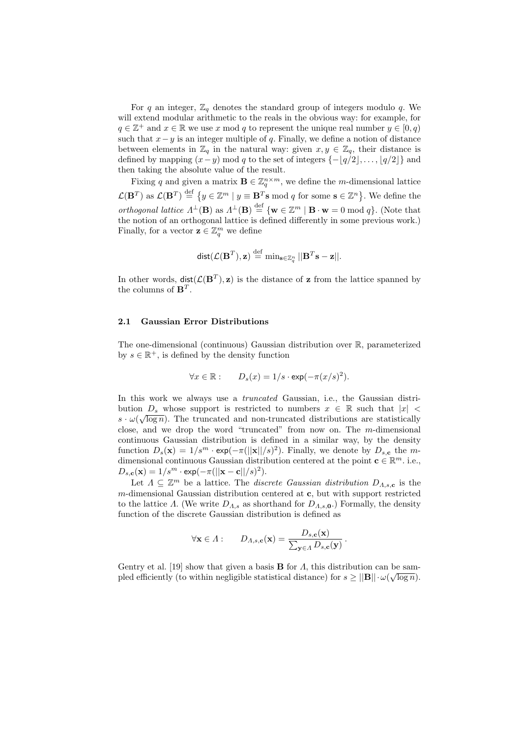For q an integer,  $\mathbb{Z}_q$  denotes the standard group of integers modulo q. We will extend modular arithmetic to the reals in the obvious way: for example, for  $q \in \mathbb{Z}^+$  and  $x \in \mathbb{R}$  we use x mod q to represent the unique real number  $y \in [0, q)$ such that  $x-y$  is an integer multiple of q. Finally, we define a notion of distance between elements in  $\mathbb{Z}_q$  in the natural way: given  $x, y \in \mathbb{Z}_q$ , their distance is defined by mapping  $(x-y)$  mod q to the set of integers  $\{-\lfloor q/2 \rfloor, \ldots, \lfloor q/2 \rfloor\}$  and then taking the absolute value of the result.

Fixing q and given a matrix  $\mathbf{B} \in \mathbb{Z}_q^{n \times m}$ , we define the m-dimensional lattice  $\mathcal{L}(\mathbf{B}^T)$  as  $\mathcal{L}(\mathbf{B}^T) \stackrel{\text{def}}{=} \{y \in \mathbb{Z}^m \mid y \equiv \mathbf{B}^T \mathbf{s} \bmod q \text{ for some } \mathbf{s} \in \mathbb{Z}^n \}$ . We define the *orthogonal lattice*  $\Lambda^{\perp}(\mathbf{B})$  as  $\Lambda^{\perp}(\mathbf{B}) \stackrel{\text{def}}{=} {\mathbf{w} \in \mathbb{Z}^m | \mathbf{B} \cdot \mathbf{w} = 0 \bmod q}.$  (Note that the notion of an orthogonal lattice is defined differently in some previous work.) Finally, for a vector  $\mathbf{z} \in \mathbb{Z}_q^m$  we define

$$
\mathsf{dist}(\mathcal{L}(\mathbf{B}^T), \mathbf{z}) \stackrel{\text{def}}{=} \min_{\mathbf{s} \in \mathbb{Z}_q^n} ||\mathbf{B}^T \mathbf{s} - \mathbf{z}||.
$$

In other words,  $dist(\mathcal{L}(\mathbf{B}^T), \mathbf{z})$  is the distance of **z** from the lattice spanned by the columns of  $\mathbf{B}^T$ .

## 2.1 Gaussian Error Distributions

The one-dimensional (continuous) Gaussian distribution over R, parameterized by  $s \in \mathbb{R}^+$ , is defined by the density function

$$
\forall x \in \mathbb{R} : \qquad D_s(x) = 1/s \cdot \exp(-\pi (x/s)^2).
$$

In this work we always use a *truncated* Gaussian, i.e., the Gaussian distribution  $D_s$  whose support is restricted to numbers  $x \in \mathbb{R}$  such that  $|x|$  $s \cdot \omega(\sqrt{\log n})$ . The truncated and non-truncated distributions are statistically close, and we drop the word "truncated" from now on. The  $m$ -dimensional continuous Gaussian distribution is defined in a similar way, by the density function  $D_s(\mathbf{x}) = 1/s^m \cdot \exp(-\pi(||\mathbf{x}||/s)^2)$ . Finally, we denote by  $D_{s,c}$  the mdimensional continuous Gaussian distribution centered at the point  $\mathbf{c} \in \mathbb{R}^m$ . i.e.,  $D_{s,\mathbf{c}}(\mathbf{x}) = 1/s^m \cdot \exp(-\pi(||\mathbf{x}-\mathbf{c}||/s)^2).$ 

Let  $\Lambda \subseteq \mathbb{Z}^m$  be a lattice. The *discrete Gaussian distribution*  $D_{\Lambda,s,c}$  is the  $m$ -dimensional Gaussian distribution centered at  $c$ , but with support restricted to the lattice Λ. (We write  $D_{\Lambda,s}$  as shorthand for  $D_{\Lambda,s,0}$ .) Formally, the density function of the discrete Gaussian distribution is defined as

$$
\forall \mathbf{x} \in \Lambda : \qquad D_{\Lambda,s,\mathbf{c}}(\mathbf{x}) = \frac{D_{s,\mathbf{c}}(\mathbf{x})}{\sum_{\mathbf{y} \in \Lambda} D_{s,\mathbf{c}}(\mathbf{y})}.
$$

Gentry et al. [19] show that given a basis **B** for  $\Lambda$ , this distribution can be sampled efficiently (to within negligible statistical distance) for  $s \ge ||\mathbf{B}|| \cdot \omega(\sqrt{\log n})$ .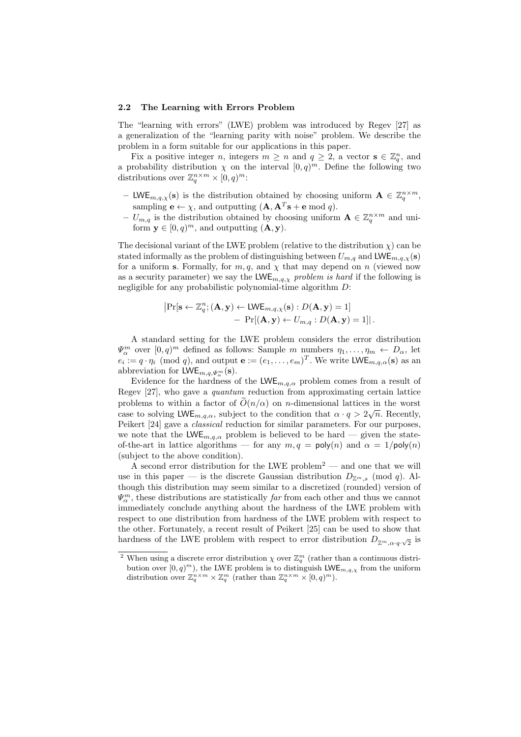#### 2.2 The Learning with Errors Problem

The "learning with errors" (LWE) problem was introduced by Regev [27] as a generalization of the "learning parity with noise" problem. We describe the problem in a form suitable for our applications in this paper.

Fix a positive integer *n*, integers  $m \geq n$  and  $q \geq 2$ , a vector  $\mathbf{s} \in \mathbb{Z}_q^n$ , and a probability distribution  $\chi$  on the interval  $[0, q)^m$ . Define the following two distributions over  $\mathbb{Z}_q^{n \times m} \times [0, q)^m$ :

- LWE<sub>m,q, $\chi$ </sub>(s) is the distribution obtained by choosing uniform  $\mathbf{A} \in \mathbb{Z}_q^{n \times m}$ , sampling  $\mathbf{e} \leftarrow \chi$ , and outputting  $(\mathbf{A}, \mathbf{A}^T \mathbf{s} + \mathbf{e} \bmod q)$ .
- $U_{m,q}$  is the distribution obtained by choosing uniform  $\mathbf{A} \in \mathbb{Z}_q^{n \times m}$  and uniform  $\mathbf{y} \in [0, q)^m$ , and outputting  $(\mathbf{A}, \mathbf{y})$ .

The decisional variant of the LWE problem (relative to the distribution  $\chi$ ) can be stated informally as the problem of distinguishing between  $U_{m,q}$  and LWE<sub>m,q, $\chi$ </sub>(s) for a uniform s. Formally, for  $m, q$ , and  $\chi$  that may depend on n (viewed now as a security parameter) we say the  $LWE_{m,q,\chi}$  *problem is hard* if the following is negligible for any probabilistic polynomial-time algorithm D:

$$
\begin{aligned} \left| \Pr[\mathbf{s} \leftarrow \mathbb{Z}_q^n; (\mathbf{A}, \mathbf{y}) \leftarrow \textsf{LWE}_{m,q,\chi}(\mathbf{s}) : D(\mathbf{A}, \mathbf{y}) = 1] \\ &- \Pr[(\mathbf{A}, \mathbf{y}) \leftarrow U_{m,q} : D(\mathbf{A}, \mathbf{y}) = 1] \right]. \end{aligned}
$$

A standard setting for the LWE problem considers the error distribution  $\Psi_{\alpha}^{m}$  over  $[0, q)^{m}$  defined as follows: Sample m numbers  $\eta_{1}, \ldots, \eta_{m} \leftarrow D_{\alpha}$ , let  $e_i := q \cdot \eta_i \pmod{q}$ , and output  $\mathbf{e} := (e_1, \ldots, e_m)^T$ . We write  $\mathsf{LWE}_{m,q,\alpha}(\mathbf{s})$  as an abbreviation for  $\mathsf{LWE}_{m,q,\Psi^m_\alpha}(\mathbf{s}).$ 

Evidence for the hardness of the  $LWE_{m,q,\alpha}$  problem comes from a result of Regev [27], who gave a *quantum* reduction from approximating certain lattice problems to within a factor of  $O(n/\alpha)$  on *n*-dimensional lattices in the worst case to solving  $\mathsf{LWE}_{m,q,\alpha}$ , subject to the condition that  $\alpha \cdot q > 2\sqrt{n}$ . Recently, Peikert [24] gave a *classical* reduction for similar parameters. For our purposes, we note that the  $LWE_{m,q,\alpha}$  problem is believed to be hard – given the stateof-the-art in lattice algorithms — for any  $m, q = \text{poly}(n)$  and  $\alpha = 1/\text{poly}(n)$ (subject to the above condition).

A second error distribution for the LWE problem<sup>2</sup> — and one that we will use in this paper — is the discrete Gaussian distribution  $D_{\mathbb{Z}^m,s}$  (mod q). Although this distribution may seem similar to a discretized (rounded) version of  $\Psi^m_\alpha$ , these distributions are statistically *far* from each other and thus we cannot immediately conclude anything about the hardness of the LWE problem with respect to one distribution from hardness of the LWE problem with respect to the other. Fortunately, a recent result of Peikert [25] can be used to show that hardness of the LWE problem with respect to error distribution  $D_{\mathbb{Z}^m,\alpha\cdot q\cdot\sqrt{2}}$  is

<sup>&</sup>lt;sup>2</sup> When using a discrete error distribution  $\chi$  over  $\mathbb{Z}_q^m$  (rather than a continuous distribution over  $[0, q)^m$ , the LWE problem is to distinguish LWE<sub>m,q, $\chi$ </sub> from the uniform distribution over  $\mathbb{Z}_q^{n \times m} \times \mathbb{Z}_q^m$  (rather than  $\mathbb{Z}_q^{n \times m} \times [0, q)^m$ ).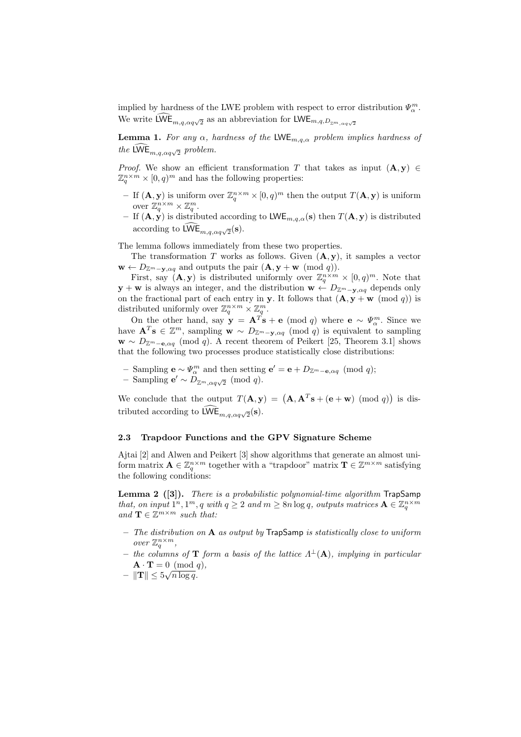implied by hardness of the LWE problem with respect to error distribution  $\Psi^m_\alpha$ . We write  $\mathsf{LWE}_{m,q,\alpha q\sqrt{2}}$  as an abbreviation for  $\mathsf{LWE}_{m,q,D_{\mathbb{Z}^m,\alpha q\sqrt{2}}}$ 

**Lemma 1.** *For any*  $\alpha$ *, hardness of the* LWE<sub>m,q, $\alpha$  *problem implies hardness of*</sub> *the* LWE<sub>m,q, $\alpha q \sqrt{2}$  problem.</sub>

*Proof.* We show an efficient transformation T that takes as input  $(A, y) \in$  $\mathbb{Z}_q^{n \times m} \times [0, q)^m$  and has the following properties:

- If  $(A, y)$  is uniform over  $\mathbb{Z}_q^{n \times m} \times [0, q)^m$  then the output  $T(A, y)$  is uniform over  $\mathbb{Z}_q^{n \times m} \times \mathbb{Z}_q^m$ .
- If  $(A, y)$  is distributed according to  $\mathsf{LWE}_{m,q,\alpha}(\mathbf{s})$  then  $T(\mathbf{A}, y)$  is distributed according to  $\mathsf{LWE}_{m,q,\alpha q\sqrt{2}}(\mathbf{s}).$

The lemma follows immediately from these two properties.

The transformation T works as follows. Given  $(A, y)$ , it samples a vector  $\mathbf{w} \leftarrow D_{\mathbb{Z}^m - \mathbf{v}, \alpha q}$  and outputs the pair  $(\mathbf{A}, \mathbf{y} + \mathbf{w} \pmod{q})$ .

First, say  $(\mathbf{A}, \mathbf{y})$  is distributed uniformly over  $\mathbb{Z}_q^{n \times m} \times [0, q)^m$ . Note that  $\mathbf{y} + \mathbf{w}$  is always an integer, and the distribution  $\mathbf{w} \leftarrow D_{\mathbb{Z}^m - \mathbf{y}, \alpha q}$  depends only on the fractional part of each entry in y. It follows that  $(A, y + w \pmod{q})$  is distributed uniformly over  $\mathbb{Z}_q^{n \times m} \times \mathbb{Z}_q^m$ .

On the other hand, say  $\mathbf{y} = \mathbf{A}^T \mathbf{s} + \mathbf{e} \pmod{q}$  where  $\mathbf{e} \sim \Psi_{\alpha}^m$ . Since we have  $\mathbf{A}^T\mathbf{s} \in \mathbb{Z}^m$ , sampling  $\mathbf{w} \sim D_{\mathbb{Z}^m - \mathbf{y}, \alpha q} \pmod{q}$  is equivalent to sampling  $\mathbf{w} \sim D_{\mathbb{Z}^m-\mathbf{e},\alpha q}$  (mod q). A recent theorem of Peikert [25, Theorem 3.1] shows that the following two processes produce statistically close distributions:

- Sampling  $\mathbf{e} \sim \Psi_{\alpha}^{m}$  and then setting  $\mathbf{e}' = \mathbf{e} + D_{\mathbb{Z}^{m} \mathbf{e}, \alpha q} \pmod{q}$ ;
- − Sampling  $e' \sim D_{\mathbb{Z}^m, \alpha q \sqrt{2}} \pmod{q}$ .

We conclude that the output  $T(\mathbf{A}, \mathbf{y}) = (\mathbf{A}, \mathbf{A}^T \mathbf{s} + (\mathbf{e} + \mathbf{w}) \pmod{q}$  is distributed according to  $\mathsf{LWE}_{m,q,\alpha q\sqrt{2}}(\mathbf{s}).$ 

## 2.3 Trapdoor Functions and the GPV Signature Scheme

Ajtai [2] and Alwen and Peikert [3] show algorithms that generate an almost uniform matrix  $\mathbf{A} \in \mathbb{Z}_q^{n \times m}$  together with a "trapdoor" matrix  $\mathbf{T} \in \mathbb{Z}^{m \times m}$  satisfying the following conditions:

Lemma 2 ([3]). *There is a probabilistic polynomial-time algorithm* TrapSamp *that, on input*  $1^n, 1^m, q$  *with*  $q \ge 2$  *and*  $m \ge 8n \log q$ *, outputs matrices*  $\mathbf{A} \in \mathbb{Z}_q^{n \times m}$  $and \mathbf{T} \in \mathbb{Z}^{m \times m}$  *such that:* 

- *The distribution on* A *as output by* TrapSamp *is statistically close to uniform over*  $\mathbb{Z}_q^{n \times m}$ ,
- $-$  the columns of **T** form a basis of the lattice  $\Lambda^{\perp}(\mathbf{A})$ , implying in particular  $\mathbf{A} \cdot \mathbf{T} = 0 \pmod{q}$ ,
- $\|\mathbf{T}\| \leq 5\sqrt{n\log q}$ .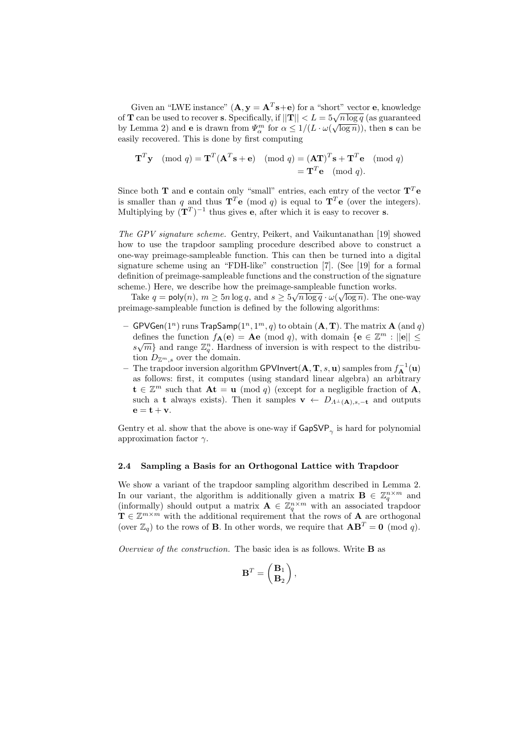Given an "LWE instance"  $(A, y = A^T s + e)$  for a "short" vector e, knowledge of T can be used to recover s. Specifically, if  $||T|| < L = 5\sqrt{n \log q}$  (as guaranteed by Lemma 2) and **e** is drawn from  $\Psi_{\alpha}^{m}$  for  $\alpha \leq 1/(L \cdot \omega(\sqrt{\log n}))$ , then **s** can be easily recovered. This is done by first computing

$$
\mathbf{T}^T \mathbf{y} \pmod{q} = \mathbf{T}^T (\mathbf{A}^T \mathbf{s} + \mathbf{e}) \pmod{q} = (\mathbf{A} \mathbf{T})^T \mathbf{s} + \mathbf{T}^T \mathbf{e} \pmod{q}
$$

$$
= \mathbf{T}^T \mathbf{e} \pmod{q}.
$$

Since both **T** and **e** contain only "small" entries, each entry of the vector  $T^T e$ is smaller than q and thus  $\mathbf{T}^T\mathbf{e}$  (mod q) is equal to  $\mathbf{T}^T\mathbf{e}$  (over the integers). Multiplying by  $({\bf T}^T)^{-1}$  thus gives **e**, after which it is easy to recover **s**.

*The GPV signature scheme.* Gentry, Peikert, and Vaikuntanathan [19] showed how to use the trapdoor sampling procedure described above to construct a one-way preimage-sampleable function. This can then be turned into a digital signature scheme using an "FDH-like" construction [7]. (See [19] for a formal definition of preimage-sampleable functions and the construction of the signature scheme.) Here, we describe how the preimage-sampleable function works.

Take  $q = \text{poly}(n)$ ,  $m \ge 5n \log q$ , and  $s \ge 5\sqrt{n \log q} \cdot \omega(\sqrt{\log n})$ . The one-way preimage-sampleable function is defined by the following algorithms:

- $-$  GPVGen $(1^n)$  runs  $\mathsf{TrapSamp}(1^n,1^m,q)$  to obtain  $(\mathbf{A},\mathbf{T}).$  The matrix  $\mathbf{A}$   $(\text{and } q)$ defines the function  $f_{\mathbf{A}}(\mathbf{e}) = \mathbf{A}\mathbf{e} \pmod{q}$ , with domain  $\{\mathbf{e} \in \mathbb{Z}^m : ||\mathbf{e}|| \leq \mathbf{e} \leq \mathbf{e} \leq \mathbf{e} \leq \mathbf{e} \leq \mathbf{e} \leq \mathbf{e} \leq \mathbf{e} \leq \mathbf{e} \leq \mathbf{e} \leq \mathbf{e} \leq \mathbf{e} \leq \mathbf{e} \leq \mathbf{e} \leq \mathbf{e$  $s\sqrt{m}$  and range  $\mathbb{Z}_q^n$ . Hardness of inversion is with respect to the distribution  $D_{\mathbb{Z}^m,s}$  over the domain.
- $-$  The trapdoor inversion algorithm GPVInvert $(\mathbf{A}, \mathbf{T}, s, \mathbf{u})$  samples from  $f_{\mathbf{A}}^{-1}(\mathbf{u})$ as follows: first, it computes (using standard linear algebra) an arbitrary  $\mathbf{t} \in \mathbb{Z}^m$  such that  $\mathbf{A}\mathbf{t} = \mathbf{u} \pmod{q}$  (except for a negligible fraction of  $\mathbf{A}$ , such a t always exists). Then it samples  $\mathbf{v} \leftarrow D_{\Lambda^{\perp}(\mathbf{A}),s,-\mathbf{t}}$  and outputs  $\mathbf{e} = \mathbf{t} + \mathbf{v}$ .

Gentry et al. show that the above is one-way if  $\mathsf{GapSVP}_{\gamma}$  is hard for polynomial approximation factor  $\gamma$ .

#### 2.4 Sampling a Basis for an Orthogonal Lattice with Trapdoor

We show a variant of the trapdoor sampling algorithm described in Lemma 2. In our variant, the algorithm is additionally given a matrix  $\mathbf{B} \in \mathbb{Z}_q^{n \times m}$  and (informally) should output a matrix  $\mathbf{A} \in \mathbb{Z}_q^{n \times m}$  with an associated trapdoor  $\mathbf{T} \in \mathbb{Z}^{m \times m}$  with the additional requirement that the rows of **A** are orthogonal (over  $\mathbb{Z}_q$ ) to the rows of **B**. In other words, we require that  $AB^T = 0 \pmod{q}$ .

*Overview of the construction.* The basic idea is as follows. Write B as

$$
\mathbf{B}^T = \begin{pmatrix} \mathbf{B}_1 \\ \mathbf{B}_2 \end{pmatrix},
$$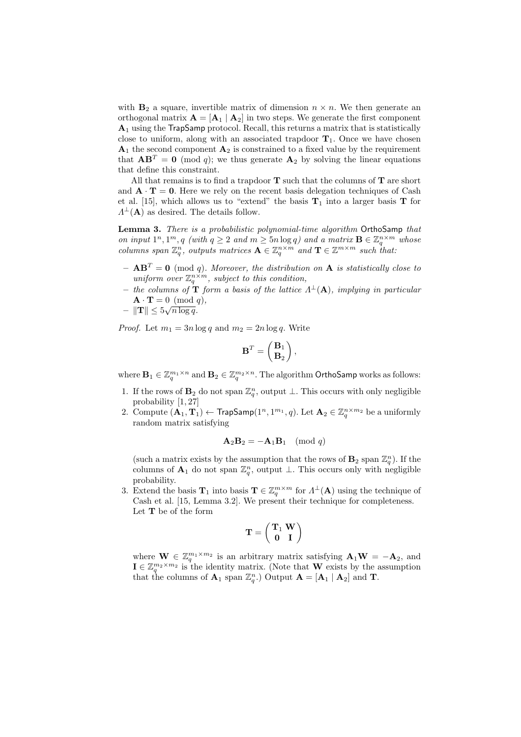with  $\mathbf{B}_2$  a square, invertible matrix of dimension  $n \times n$ . We then generate an orthogonal matrix  $\mathbf{A} = [\mathbf{A}_1 \mid \mathbf{A}_2]$  in two steps. We generate the first component  $A_1$  using the TrapSamp protocol. Recall, this returns a matrix that is statistically close to uniform, along with an associated trapdoor  $T_1$ . Once we have chosen  $A_1$  the second component  $A_2$  is constrained to a fixed value by the requirement that  $AB^T = 0 \pmod{q}$ ; we thus generate  $A_2$  by solving the linear equations that define this constraint.

All that remains is to find a trapdoor  $T$  such that the columns of  $T$  are short and  $\mathbf{A} \cdot \mathbf{T} = \mathbf{0}$ . Here we rely on the recent basis delegation techniques of Cash et al. [15], which allows us to "extend" the basis  $T_1$  into a larger basis T for  $\Lambda^{\perp}(\mathbf{A})$  as desired. The details follow.

Lemma 3. *There is a probabilistic polynomial-time algorithm* OrthoSamp *that on input*  $1^n, 1^m, q$  *(with*  $q \ge 2$  *and*  $m \ge 5n \log q$ *) and a matrix*  $\mathbf{B} \in \mathbb{Z}_q^{n \times m}$  *whose columns span*  $\mathbb{Z}_q^n$ , *outputs matrices*  $\mathbf{A} \in \mathbb{Z}_q^{n \times m}$  *and*  $\mathbf{T} \in \mathbb{Z}^{m \times m}$  *such that:* 

- $-$  **AB<sup>T</sup>** = **0** (mod *q*). Moreover, the distribution on **A** is statistically close to uniform over  $\mathbb{Z}_q^{n \times m}$ , subject to this condition,
- $-$  *the columns of* **T** *form a basis of the lattice*  $\Lambda^{\perp}(\mathbf{A})$ *, implying in particular*  $\mathbf{A} \cdot \mathbf{T} = 0 \pmod{q},$
- $\|\mathbf{T}\| \leq 5\sqrt{n\log q}$ .

*Proof.* Let  $m_1 = 3n \log q$  and  $m_2 = 2n \log q$ . Write

$$
\mathbf{B}^T = \begin{pmatrix} \mathbf{B}_1 \\ \mathbf{B}_2 \end{pmatrix},
$$

where  $\mathbf{B}_1 \in \mathbb{Z}_q^{m_1 \times n}$  and  $\mathbf{B}_2 \in \mathbb{Z}_q^{m_2 \times n}$ . The algorithm OrthoSamp works as follows:

- 1. If the rows of  $\mathbf{B}_2$  do not span  $\mathbb{Z}_q^n$ , output  $\perp$ . This occurs with only negligible probability [1, 27]
- 2. Compute  $(A_1, T_1) \leftarrow$  TrapSamp $(1^n, 1^{m_1}, q)$ . Let  $\mathbf{A}_2 \in \mathbb{Z}_q^{n \times m_2}$  be a uniformly random matrix satisfying

$$
\mathbf{A}_2 \mathbf{B}_2 = -\mathbf{A}_1 \mathbf{B}_1 \pmod{q}
$$

(such a matrix exists by the assumption that the rows of  $\mathbf{B}_2$  span  $\mathbb{Z}_q^n$ ). If the columns of  $\mathbf{A}_1$  do not span  $\mathbb{Z}_q^n$ , output  $\perp$ . This occurs only with negligible probability.

3. Extend the basis  $\mathbf{T}_1$  into basis  $\mathbf{T} \in \mathbb{Z}_q^{m \times m}$  for  $\Lambda^{\perp}(\mathbf{A})$  using the technique of Cash et al. [15, Lemma 3.2]. We present their technique for completeness. Let T be of the form

$$
\mathbf{T}=\left(\begin{array}{cc} \mathbf{T}_1 \ \mathbf{W} \\ \mathbf{0} & \mathbf{I} \end{array}\right)
$$

where  $\mathbf{W} \in \mathbb{Z}_q^{m_1 \times m_2}$  is an arbitrary matrix satisfying  $\mathbf{A}_1 \mathbf{W} = -\mathbf{A}_2$ , and  $\mathbf{I} \in \mathbb{Z}_q^{m_2 \times m_2}$  is the identity matrix. (Note that W exists by the assumption that the columns of  $\mathbf{A}_1$  span  $\mathbb{Z}_q^n$ . Output  $\mathbf{A} = [\mathbf{A}_1 | \mathbf{A}_2]$  and **T**.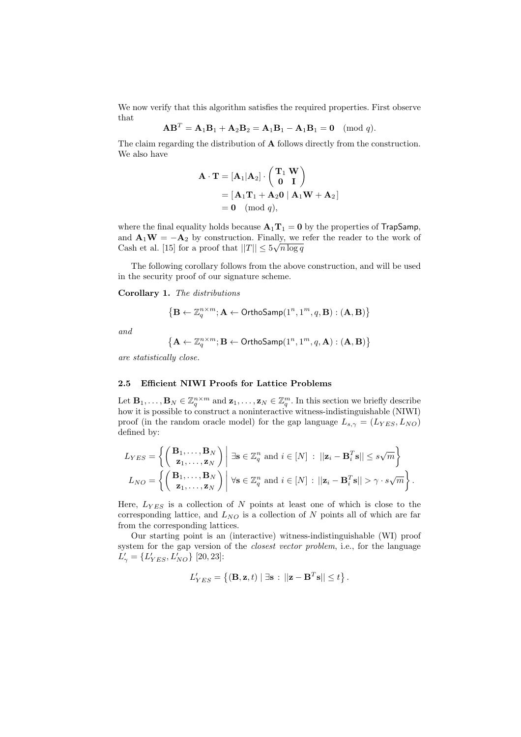We now verify that this algorithm satisfies the required properties. First observe that

$$
ABT = A1B1 + A2B2 = A1B1 - A1B1 = 0 \pmod{q}.
$$

The claim regarding the distribution of A follows directly from the construction. We also have

$$
\mathbf{A} \cdot \mathbf{T} = [\mathbf{A}_1 | \mathbf{A}_2] \cdot \begin{pmatrix} \mathbf{T}_1 \ \mathbf{W} \\ \mathbf{0} \ \mathbf{I} \end{pmatrix}
$$
  
=  $[\mathbf{A}_1 \mathbf{T}_1 + \mathbf{A}_2 \mathbf{0} | \mathbf{A}_1 \mathbf{W} + \mathbf{A}_2]$   
=  $\mathbf{0} \pmod{q}$ ,

where the final equality holds because  $A_1T_1 = 0$  by the properties of TrapSamp, and  $A_1W = -A_2$  by construction. Finally, we refer the reader to the work of Cash et al. [15] for a proof that  $||T|| \leq 5\sqrt{n \log q}$ 

The following corollary follows from the above construction, and will be used in the security proof of our signature scheme.

Corollary 1. *The distributions*

$$
\left\{\mathbf{B} \leftarrow \mathbb{Z}_q^{n \times m}; \mathbf{A} \leftarrow \mathsf{OrthoSamp}(1^n,1^m,q,\mathbf{B}): (\mathbf{A},\mathbf{B}) \right\}
$$

*and*

$$
\left\{\mathbf{A}\leftarrow\mathbb{Z}_q^{n\times m}; \mathbf{B}\leftarrow\mathsf{OrthoSamp}(1^n,1^m,q,\mathbf{A}) : (\mathbf{A},\mathbf{B})\right\}
$$

*are statistically close.*

## 2.5 Efficient NIWI Proofs for Lattice Problems

Let  $\mathbf{B}_1, \ldots, \mathbf{B}_N \in \mathbb{Z}_q^{n \times m}$  and  $\mathbf{z}_1, \ldots, \mathbf{z}_N \in \mathbb{Z}_q^m$ . In this section we briefly describe how it is possible to construct a noninteractive witness-indistinguishable (NIWI) proof (in the random oracle model) for the gap language  $L_{s,\gamma} = (L_{YES}, L_{NO})$ defined by:

$$
L_{YES} = \left\{ \begin{pmatrix} \mathbf{B}_1, \dots, \mathbf{B}_N \\ \mathbf{z}_1, \dots, \mathbf{z}_N \end{pmatrix} \middle| \exists \mathbf{s} \in \mathbb{Z}_q^n \text{ and } i \in [N] : ||\mathbf{z}_i - \mathbf{B}_i^T \mathbf{s}|| \le s\sqrt{m} \right\}
$$
  

$$
L_{NO} = \left\{ \begin{pmatrix} \mathbf{B}_1, \dots, \mathbf{B}_N \\ \mathbf{z}_1, \dots, \mathbf{z}_N \end{pmatrix} \middle| \forall \mathbf{s} \in \mathbb{Z}_q^n \text{ and } i \in [N] : ||\mathbf{z}_i - \mathbf{B}_i^T \mathbf{s}|| > \gamma \cdot s\sqrt{m} \right\}.
$$

Here,  $L_{YES}$  is a collection of N points at least one of which is close to the corresponding lattice, and  $L_{NO}$  is a collection of N points all of which are far from the corresponding lattices.

Our starting point is an (interactive) witness-indistinguishable (WI) proof system for the gap version of the *closest vector problem*, i.e., for the language  $L'_{\gamma} = \{L'_{YES}, L'_{NO}\}\;[20, 23]$ :

$$
L'_{YES} = \{ (\mathbf{B}, \mathbf{z}, t) | \exists \mathbf{s} : ||\mathbf{z} - \mathbf{B}^T \mathbf{s}|| \le t \}.
$$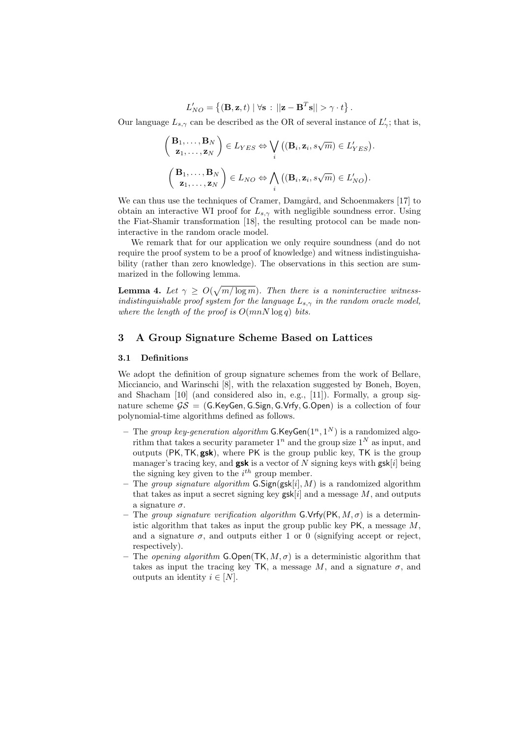$$
L'_{NO} = \{ (\mathbf{B}, \mathbf{z}, t) \mid \forall \mathbf{s} : ||\mathbf{z} - \mathbf{B}^T \mathbf{s}|| > \gamma \cdot t \}.
$$

Our language  $L_{s,\gamma}$  can be described as the OR of several instance of  $L'_{\gamma}$ ; that is,

$$
\begin{pmatrix} \mathbf{B}_1, \dots, \mathbf{B}_N \\ \mathbf{z}_1, \dots, \mathbf{z}_N \end{pmatrix} \in L_{YES} \Leftrightarrow \bigvee_i ((\mathbf{B}_i, \mathbf{z}_i, s\sqrt{m}) \in L'_{YES}).
$$
  

$$
\begin{pmatrix} \mathbf{B}_1, \dots, \mathbf{B}_N \\ \mathbf{z}_1, \dots, \mathbf{z}_N \end{pmatrix} \in L_{NO} \Leftrightarrow \bigwedge_i ((\mathbf{B}_i, \mathbf{z}_i, s\sqrt{m}) \in L'_{NO}).
$$

We can thus use the techniques of Cramer, Damgård, and Schoenmakers [17] to obtain an interactive WI proof for  $L_{s,\gamma}$  with negligible soundness error. Using the Fiat-Shamir transformation [18], the resulting protocol can be made noninteractive in the random oracle model.

We remark that for our application we only require soundness (and do not require the proof system to be a proof of knowledge) and witness indistinguishability (rather than zero knowledge). The observations in this section are summarized in the following lemma.

**Lemma 4.** Let  $\gamma \ge O(\sqrt{m/\log m})$ . Then there is a noninteractive witness*indistinguishable proof system for the language*  $L_{s,\gamma}$  *in the random oracle model, where the length of the proof is* O(mnN log q) *bits.*

# 3 A Group Signature Scheme Based on Lattices

### 3.1 Definitions

We adopt the definition of group signature schemes from the work of Bellare, Micciancio, and Warinschi [8], with the relaxation suggested by Boneh, Boyen, and Shacham [10] (and considered also in, e.g., [11]). Formally, a group signature scheme  $GS = (G.KeyGen, G.Sign, G.Vrfy, G.Open)$  is a collection of four polynomial-time algorithms defined as follows.

- The *group key-generation algorithm*  $G.KeyGen(1^n, 1^N)$  is a randomized algorithm that takes a security parameter  $1^n$  and the group size  $1^N$  as input, and outputs (PK,TK, gsk), where PK is the group public key, TK is the group manager's tracing key, and **gsk** is a vector of N signing keys with  $\text{gsk}[i]$  being the signing key given to the  $i^{th}$  group member.
- The *group signature algorithm*  $G.Sign(gsk[i], M)$  is a randomized algorithm that takes as input a secret signing key  $\text{gsk}[i]$  and a message  $M$ , and outputs a signature  $\sigma$ .
- The *group signature verification algorithm* G.Vrfy(PK,  $M, \sigma$ ) is a deterministic algorithm that takes as input the group public key  $PK$ , a message  $M$ . and a signature  $\sigma$ , and outputs either 1 or 0 (signifying accept or reject, respectively).
- The *opening algorithm* **G.Open**( $TK, M, \sigma$ ) is a deterministic algorithm that takes as input the tracing key TK, a message M, and a signature  $\sigma$ , and outputs an identity  $i \in [N]$ .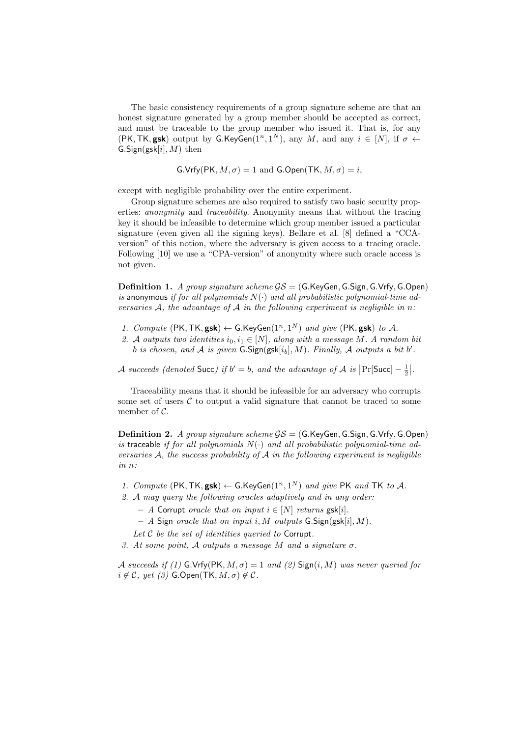The basic consistency requirements of a group signature scheme are that an honest signature generated by a group member should be accepted as correct, and must be traceable to the group member who issued it. That is, for any  $(PK, TK, gsk)$  output by G.KeyGen $(1^n, 1^N)$ , any M, and any  $i \in [N]$ , if  $\sigma \leftarrow$  $G.Sign(gsk[i], M)$  then

$$
G.Vrfy(PK, M, \sigma) = 1 \text{ and } G.Open(TK, M, \sigma) = i,
$$

except with negligible probability over the entire experiment.

Group signature schemes are also required to satisfy two basic security properties: *anonymity* and *traceability*. Anonymity means that without the tracing key it should be infeasible to determine which group member issued a particular signature (even given all the signing keys). Bellare et al. [8] defined a "CCAversion" of this notion, where the adversary is given access to a tracing oracle. Following [10] we use a "CPA-version" of anonymity where such oracle access is not given.

Definition 1. *A group signature scheme* GS = (G.KeyGen,G.Sign,G.Vrfy,G.Open) *is* anonymous *if for all polynomials* N(·) *and all probabilistic polynomial-time adversaries* A*, the advantage of* A *in the following experiment is negligible in* n*:*

- 1. *Compute*  $(PK, TK, gsk) \leftarrow G.KeyGen(1^n, 1^N)$  *and give*  $(PK, gsk)$  *to*  $A$ *.*
- 2. A *outputs two identities*  $i_0, i_1 \in [N]$ *, along with a message* M. A random bit b is chosen, and A is given  $G.Sign(gsk[i_b], M)$ . Finally, A outputs a bit b'.

*A* succeeds (denoted Succ) if  $b' = b$ , and the advantage of *A* is  $\left| \Pr[\text{Succ}] - \frac{1}{2} \right|$ .

Traceability means that it should be infeasible for an adversary who corrupts some set of users  $C$  to output a valid signature that cannot be traced to some member of  $\mathcal{C}$ .

Definition 2. *A group signature scheme*  $GS = (G.KeyGen, G.Sign, G.Vrfy, G.Open)$ is traceable *if for all polynomials*  $N(\cdot)$  *and all probabilistic polynomial-time adversaries* A*, the success probability of* A *in the following experiment is negligible in* n*:*

1. Compute  $(\text{PK}, \text{TK}, \text{gsk}) \leftarrow \text{G.KeyGen}(1^n, 1^N)$  and give PK and TK to A.

*2.* A *may query the following oracles adaptively and in any order:*

- $-$  *A* Corrupt *oracle that on input*  $i \in [N]$  *returns* gsk[i].
- *A* Sign *oracle that on input* i, M *outputs* G.Sign(gsk[i], M)*.*

*Let* C *be the set of identities queried to* Corrupt*.*

*3. At some point,* A *outputs a message* M *and a signature* σ*.*

A succeeds if (1)  $G.Vrfv(PK, M, \sigma) = 1$  and (2)  $Sign(i, M)$  was never queried for  $i \notin \mathcal{C}$ , yet (3) G.Open(TK,  $M, \sigma$ )  $\notin \mathcal{C}$ .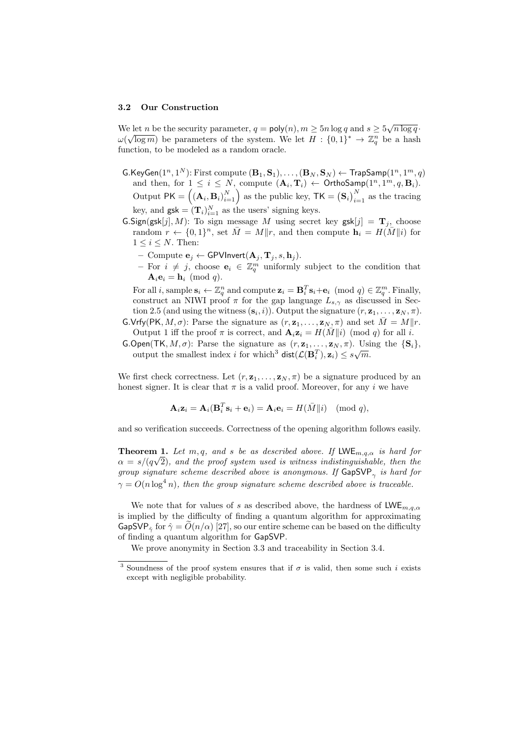#### 3.2 Our Construction

We let *n* be the security parameter,  $q = \text{poly}(n)$ ,  $m \ge 5n \log q$  and  $s \ge 5\sqrt{n \log q}$ .  $\omega(\sqrt{\log m})$  be parameters of the system. We let  $H : \{0,1\}^* \to \mathbb{Z}_q^n$  be a hash function, to be modeled as a random oracle.

- $\mathsf{G}.\mathsf{KeyGen}(1^n,1^N) \text{: First compute }(\mathbf{B}_1,\mathbf{S}_1),\ldots,(\mathbf{B}_N,\mathbf{S}_N) \leftarrow \mathsf{TrapSamp}(1^n,1^m,q)$ and then, for  $1 \leq i \leq N$ , compute  $(\mathbf{A}_i, \mathbf{T}_i) \leftarrow \text{OrthoSamp}(1^n, 1^m, q, \mathbf{B}_i)$ . Output  $PK = (({\bf A}_i, {\bf B}_i)_{i=1}^N)$  as the public key,  $TK = (S_i)_{i=1}^N$  as the tracing key, and  $\textsf{gsk} = (\mathbf{T}_i)_{i=1}^N$  as the users' signing keys.
- $\textsf{G}.Sign(gsk[j], M)$ : To sign message M using secret key gsk $[j] = \mathbf{T}_i$ , choose random  $r \leftarrow \{0,1\}^n$ , set  $\bar{M} = M||r$ , and then compute  $\mathbf{h}_i = H(\bar{M}||i)$  for  $1 \leq i \leq N$ . Then:
	- Compute  $\mathbf{e}_j$  ← GPVInvert $(\mathbf{A}_j, \mathbf{T}_j, s, \mathbf{h}_j)$ .
	- For  $i \neq j$ , choose  $\mathbf{e}_i$  ∈  $\mathbb{Z}_q^m$  uniformly subject to the condition that  $\mathbf{A}_i \mathbf{e}_i = \mathbf{h}_i \pmod{q}$ .

For all i, sample  $\mathbf{s}_i \leftarrow \mathbb{Z}_q^n$  and compute  $\mathbf{z}_i = \mathbf{B}_i^T \mathbf{s}_i + \mathbf{e}_i \pmod{q} \in \mathbb{Z}_q^m$ . Finally, construct an NIWI proof  $\pi$  for the gap language  $L_{s,\gamma}$  as discussed in Section 2.5 (and using the witness  $(\mathbf{s}_i, i)$ ). Output the signature  $(r, \mathbf{z}_1, \ldots, \mathbf{z}_N, \pi)$ .

- G.Vrfy(PK,  $M, \sigma$ ): Parse the signature as  $(r, \mathbf{z}_1, \dots, \mathbf{z}_N, \pi)$  and set  $\overline{M} = M||r$ . Output 1 iff the proof  $\pi$  is correct, and  $\mathbf{A}_i \mathbf{z}_i = H(\bar{M} || i) \pmod{q}$  for all i.
- G.Open(TK,  $M, \sigma$ ): Parse the signature as  $(r, z_1, \ldots, z_N, \pi)$ . Using the  $\{S_i\}$ , output the smallest index i for which<sup>3</sup> dist $(\mathcal{L}(\mathbf{B}_i^T), \mathbf{z}_i) \leq s\sqrt{m}$ .

We first check correctness. Let  $(r, \mathbf{z}_1, \ldots, \mathbf{z}_N, \pi)$  be a signature produced by an honest signer. It is clear that  $\pi$  is a valid proof. Moreover, for any i we have

$$
\mathbf{A}_i \mathbf{z}_i = \mathbf{A}_i (\mathbf{B}_i^T \mathbf{s}_i + \mathbf{e}_i) = \mathbf{A}_i \mathbf{e}_i = H(\bar{M}||i) \pmod{q},
$$

and so verification succeeds. Correctness of the opening algorithm follows easily.

**Theorem 1.** Let  $m, q$ , and s be as described above. If LWE<sub>m,q, $\alpha$ </sub> is hard for  $\alpha = s/(q\sqrt{2})$ *, and the proof system used is witness indistinguishable, then the group signature scheme described above is anonymous. If*  $\textsf{GapSVP}_{\gamma}$  *is hard for*  $\gamma = O(n \log^4 n)$ , then the group signature scheme described above is traceable.

We note that for values of s as described above, the hardness of  $LWE_{m,q,\alpha}$ is implied by the difficulty of finding a quantum algorithm for approximating GapSVP<sub> $\hat{\gamma}$ </sub> for  $\hat{\gamma} = O(n/\alpha)$  [27], so our entire scheme can be based on the difficulty of finding a quantum algorithm for GapSVP.

We prove anonymity in Section 3.3 and traceability in Section 3.4.

<sup>&</sup>lt;sup>3</sup> Soundness of the proof system ensures that if  $\sigma$  is valid, then some such i exists except with negligible probability.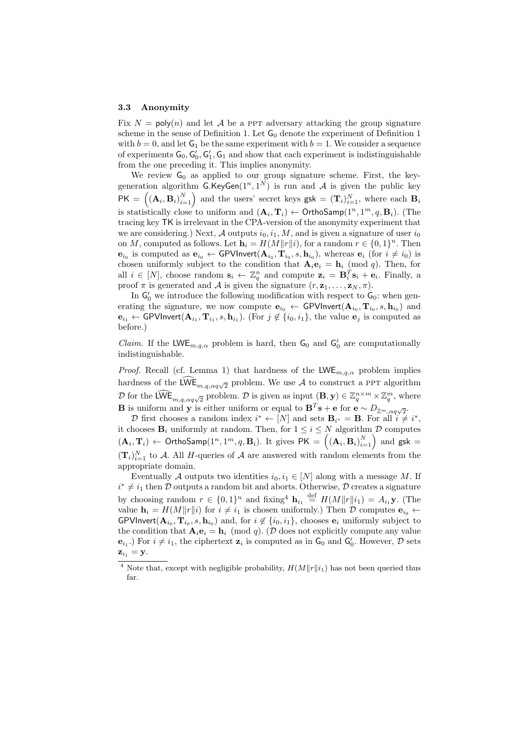#### 3.3 Anonymity

Fix  $N = \text{poly}(n)$  and let A be a PPT adversary attacking the group signature scheme in the sense of Definition 1. Let  $G_0$  denote the experiment of Definition 1 with  $b = 0$ , and let  $G_1$  be the same experiment with  $b = 1$ . We consider a sequence of experiments  $G_0$ ,  $G'_0$ ,  $G'_1$ ,  $G_1$  and show that each experiment is indistinguishable from the one preceding it. This implies anonymity.

We review  $G_0$  as applied to our group signature scheme. First, the keygeneration algorithm  $G.KeyGen(1^n, 1^N)$  is run and A is given the public key  $PK = (({\bf A}_i, {\bf B}_i)_{i=1}^N)$  and the users' secret keys  $gsk = ({\bf T}_i)_{i=1}^N$ , where each  ${\bf B}_i$ is statistically close to uniform and  $(\mathbf{A}_i, \mathbf{T}_i) \leftarrow \text{OrthoSamp}(1^n, 1^m, q, \mathbf{B}_i)$ . (The tracing key TK is irrelevant in the CPA-version of the anonymity experiment that we are considering.) Next, A outputs  $i_0, i_1, M$ , and is given a signature of user  $i_0$ on M, computed as follows. Let  $\mathbf{h}_i = H(M||r||i)$ , for a random  $r \in \{0, 1\}^n$ . Then  $\mathbf{e}_{i_0}$  is computed as  $\mathbf{e}_{i_0} \leftarrow \textsf{GPVInvert}(\mathbf{A}_{i_0}, \mathbf{T}_{i_0}, s, \mathbf{h}_{i_0})$ , whereas  $\mathbf{e}_i$  (for  $i \neq i_0$ ) is chosen uniformly subject to the condition that  $\mathbf{A}_i \mathbf{e}_i = \mathbf{h}_i \pmod{q}$ . Then, for all  $i \in [N]$ , choose random  $\mathbf{s}_i \leftarrow \mathbb{Z}_q^n$  and compute  $\mathbf{z}_i = \mathbf{B}_i^T \mathbf{s}_i + \mathbf{e}_i$ . Finally, a proof  $\pi$  is generated and  $\mathcal A$  is given the signature  $(r, \mathbf{z}_1, \ldots, \mathbf{z}_N, \pi)$ .

In  $G'_0$  we introduce the following modification with respect to  $G_0$ : when generating the signature, we now compute  $\mathbf{e}_{i_0} \leftarrow \text{GPVInvert}(\mathbf{A}_{i_0}, \mathbf{T}_{i_0}, s, \mathbf{h}_{i_0})$  and  $e_{i_1} \leftarrow \textsf{GPVInvert}(\mathbf{A}_{i_1}, \mathbf{T}_{i_1}, s, \mathbf{h}_{i_1}).$  (For  $j \notin \{i_0, i_1\}$ , the value  $\mathbf{e}_j$  is computed as before.)

*Claim.* If the LWE<sub>m,q, $\alpha$ </sub> problem is hard, then  $G_0$  and  $G'_0$  are computationally indistinguishable.

*Proof.* Recall (cf. Lemma 1) that hardness of the  $LWE_{m,q,\alpha}$  problem implies hardness of the  $\widehat{\mathsf{LWE}}_{m,q,\alpha q\sqrt{2}}$  problem. We use A to construct a PPT algorithm D for the  $\widehat{\mathsf{LWE}}_{m,q,\alpha q\sqrt{2}}$  problem. D is given as input  $(\mathbf{B}, \mathbf{y}) \in \mathbb{Z}_q^{n \times m} \times \mathbb{Z}_q^m$ , where **B** is uniform and **y** is either uniform or equal to  $\mathbf{B}^T\mathbf{s} + \mathbf{e}$  for  $\mathbf{e} \sim D_{\mathbb{Z}^m}$ ,  $\alpha q \sqrt{2}$ .

D first chooses a random index  $i^* \leftarrow [N]$  and sets  $\mathbf{B}_{i^*} = \mathbf{B}$ . For all  $i \neq i^*$ , it chooses  $\mathbf{B}_i$  uniformly at random. Then, for  $1 \leq i \leq N$  algorithm  $\mathcal D$  computes  $(\mathbf{A}_i, \mathbf{T}_i) \leftarrow \text{OrthoSamp}(1^n, 1^m, q, \mathbf{B}_i)$ . It gives  $\overline{\mathsf{PK}} = \left((\mathbf{A}_i, \mathbf{B}_i)_{i=1}^N\right)$  and  $\overline{\mathsf{g}}\mathsf{sk} =$  $(\mathbf{T}_i)_{i=1}^N$  to A. All H-queries of A are answered with random elements from the appropriate domain.

Eventually A outputs two identities  $i_0, i_1 \in [N]$  along with a message M. If  $i^* \neq i_1$  then D outputs a random bit and aborts. Otherwise, D creates a signature by choosing random  $r \in \{0,1\}^n$  and fixing<sup>4</sup>  $\mathbf{h}_{i_1} \stackrel{\text{def}}{=} H(M||r||i_1) = A_{i_1} \mathbf{y}$ . (The value  $\mathbf{h}_i = H(M||r||i)$  for  $i \neq i_1$  is chosen uniformly.) Then D computes  $\mathbf{e}_{i_0} \leftarrow$ GPVInvert( $\mathbf{A}_{i_0}, \mathbf{T}_{i_0}, s, \mathbf{h}_{i_0}$ ) and, for  $i \notin \{i_0, i_1\}$ , chooses  $\mathbf{e}_i$  uniformly subject to the condition that  $\mathbf{A}_i \mathbf{e}_i = \mathbf{h}_i \pmod{q}$ . (D does not explicitly compute any value  $\mathbf{e}_{i_1}$ .) For  $i \neq i_1$ , the ciphertext  $\mathbf{z}_i$  is computed as in  $\mathsf{G}_0$  and  $\mathsf{G}'_0$ . However,  $\mathcal{D}$  sets  $\mathbf{z}_{i_1} = \mathbf{y}.$ 

<sup>&</sup>lt;sup>4</sup> Note that, except with negligible probability,  $H(M||r||i_1)$  has not been queried thus far.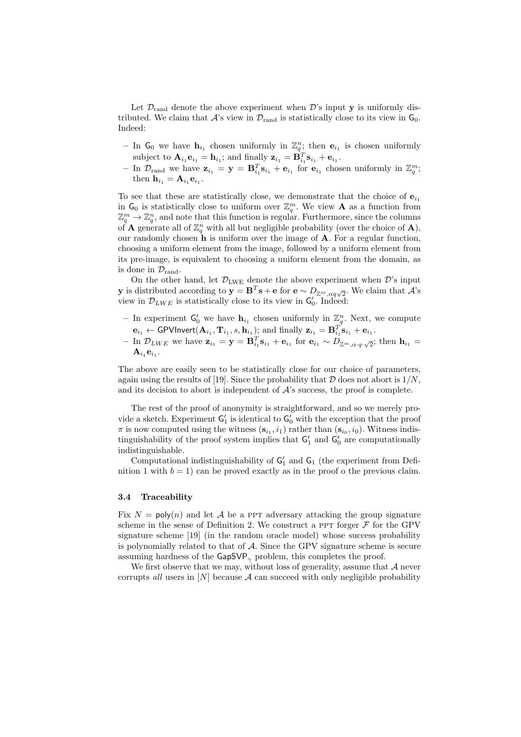Let  $\mathcal{D}_{\text{rand}}$  denote the above experiment when  $\mathcal{D}'$ 's input y is uniformly distributed. We claim that  $\mathcal{A}$ 's view in  $\mathcal{D}_{\text{rand}}$  is statistically close to its view in  $\mathsf{G}_0$ . Indeed:

- In  $G_0$  we have  $h_{i_1}$  chosen uniformly in  $\mathbb{Z}_q^n$ ; then  $e_{i_1}$  is chosen uniformly subject to  $\mathbf{A}_{i_1}\mathbf{e}_{i_1} = \mathbf{h}_{i_1}$ ; and finally  $\mathbf{z}_{i_1} = \mathbf{B}_{i_1}^T\mathbf{s}_{i_1} + \mathbf{e}_{i_1}$ .
- In  $\mathcal{D}_{\text{rand}}$  we have  $\mathbf{z}_{i_1} = \mathbf{y} = \mathbf{B}_{i_1}^T \mathbf{s}_{i_1} + \mathbf{e}_{i_1}$  for  $\mathbf{e}_{i_1}$  chosen uniformly in  $\mathbb{Z}_q^m$ ; then  $\mathbf{h}_{i_1} = \mathbf{A}_{i_1} \mathbf{e}_{i_1}$ .

To see that these are statistically close, we demonstrate that the choice of  $e_{i_1}$ in  $G_0$  is statistically close to uniform over  $\mathbb{Z}_q^m$ . We view **A** as a function from  $\mathbb{Z}_q^m \to \mathbb{Z}_q^n$ , and note that this function is regular. Furthermore, since the columns of **A** generate all of  $\mathbb{Z}_q^n$  with all but negligible probability (over the choice of **A**), our randomly chosen  $\hat{\mathbf{h}}$  is uniform over the image of  $\mathbf{A}$ . For a regular function, choosing a uniform element from the image, followed by a uniform element from its pre-image, is equivalent to choosing a uniform element from the domain, as is done in  $\mathcal{D}_{\text{rand}}$ .

On the other hand, let  $\mathcal{D}_{\text{LWE}}$  denote the above experiment when  $\mathcal{D}'s$  input y is distributed according to  $y = B^T s + e$  for  $e \sim D_{\mathbb{Z}^m, \alpha q \sqrt{2}}$ . We claim that A's view in  $\mathcal{D}_{LWE}$  is statistically close to its view in  $G'_0$ . Indeed:

- In experiment  $G'_0$  we have  $h_{i_1}$  chosen uniformly in  $\mathbb{Z}_q^n$ . Next, we compute  $\mathbf{e}_{i_1} \leftarrow \mathsf{GPV}$ Invert $(\mathbf{A}_{i_1}, \mathbf{T}_{i_1}, s, \mathbf{h}_{i_1})$ ; and finally  $\mathbf{z}_{i_1} = \mathbf{B}_{i_1}^T \mathbf{s}_{i_1} + \mathbf{e}_{i_1}$ .
- $\operatorname{In} \mathcal{D}_{LWE}$  we have  $\mathbf{z}_{i_1} = \mathbf{y} = \mathbf{B}_{i_1}^T \mathbf{s}_{i_1} + \mathbf{e}_{i_1}$  for  $\mathbf{e}_{i_1} \sim D_{\mathbb{Z}^m, \alpha \cdot q \cdot \sqrt{2}}$ ; then  $\mathbf{h}_{i_1} = \mathbf{h}_{i_2}$  $\mathbf{A}_{i_1}\mathbf{e}_{i_1}.$

The above are easily seen to be statistically close for our choice of parameters, again using the results of [19]. Since the probability that  $\mathcal D$  does not abort is  $1/N$ . and its decision to abort is independent of  $\mathcal{A}$ 's success, the proof is complete.

The rest of the proof of anonymity is straightforward, and so we merely provide a sketch. Experiment  $G'_1$  is identical to  $G'_0$  with the exception that the proof  $\pi$  is now computed using the witness  $(\mathbf{s}_{i_1}, i_1)$  rather than  $(\mathbf{s}_{i_0}, i_0)$ . Witness indistinguishability of the proof system implies that  $G'_{1}$  and  $G'_{0}$  are computationally indistinguishable.

Computational indistinguishability of  $G'_{1}$  and  $G_{1}$  (the experiment from Definition 1 with  $b = 1$  can be proved exactly as in the proof o the previous claim.

#### 3.4 Traceability

Fix  $N = \text{poly}(n)$  and let A be a PPT adversary attacking the group signature scheme in the sense of Definition 2. We construct a PPT forger  $\mathcal F$  for the GPV signature scheme [19] (in the random oracle model) whose success probability is polynomially related to that of  $A$ . Since the GPV signature scheme is secure assuming hardness of the  $\mathsf{GapSVP}_{\gamma}$  problem, this completes the proof.

We first observe that we may, without loss of generality, assume that  $A$  never corrupts *all* users in  $[N]$  because A can succeed with only negligible probability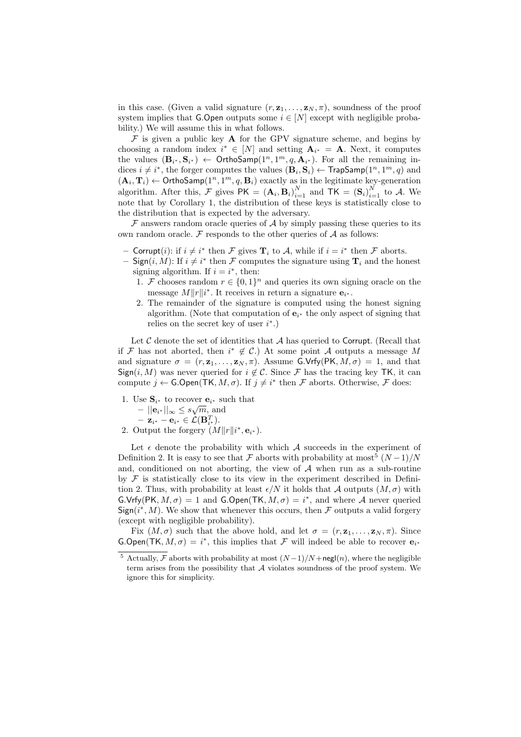in this case. (Given a valid signature  $(r, \mathbf{z}_1, \dots, \mathbf{z}_N, \pi)$ , soundness of the proof system implies that G.Open outputs some  $i \in [N]$  except with negligible probability.) We will assume this in what follows.

 $\mathcal F$  is given a public key **A** for the GPV signature scheme, and begins by choosing a random index  $i^* \in [N]$  and setting  $\mathbf{A}_{i^*} = \mathbf{A}$ . Next, it computes the values  $(\mathbf{B}_{i^*}, \mathbf{S}_{i^*}) \leftarrow \text{OrthoSamp}(1^n, 1^m, q, \mathbf{A}_{i^*})$ . For all the remaining indices  $i \neq i^*$ , the forger computes the values  $(\mathbf{B}_i, \mathbf{S}_i) \leftarrow \textsf{TrapSamp}(1^n, 1^m, q)$  and  $(\mathbf{A}_i, \mathbf{T}_i) \leftarrow \text{OrthoSamp}(1^n, 1^m, q, \mathbf{B}_i)$  exactly as in the legitimate key-generation algorithm. After this,  $\mathcal{F}$  gives  $PK = (\mathbf{A}_i, \mathbf{B}_i)_{i=1}^N$  and  $TK = (\mathbf{S}_i)_{i=1}^N$  to  $\mathcal{A}$ . We note that by Corollary 1, the distribution of these keys is statistically close to the distribution that is expected by the adversary.

 $\mathcal F$  answers random oracle queries of  $\mathcal A$  by simply passing these queries to its own random oracle.  $\mathcal F$  responds to the other queries of  $\mathcal A$  as follows:

- Corrupt(*i*): if  $i \neq i^*$  then  $\mathcal F$  gives  $\mathbf T_i$  to  $\mathcal A$ , while if  $i = i^*$  then  $\mathcal F$  aborts.
- $-$  Sign $(i, M)$ : If  $i \neq i^*$  then F computes the signature using  $\mathbf{T}_i$  and the honest signing algorithm. If  $i = i^*$ , then:
	- 1. F chooses random  $r \in \{0,1\}^n$  and queries its own signing oracle on the message  $M||r||i^*$ . It receives in return a signature  $e_{i^*}$ .
	- 2. The remainder of the signature is computed using the honest signing algorithm. (Note that computation of  $e_{i^*}$  the only aspect of signing that relies on the secret key of user  $i^*$ .)

Let  $\mathcal C$  denote the set of identities that  $\mathcal A$  has queried to Corrupt. (Recall that if F has not aborted, then  $i^* \notin C$ .) At some point A outputs a message M and signature  $\sigma = (r, \mathbf{z}_1, \dots, \mathbf{z}_N, \pi)$ . Assume G.Vrfy(PK,  $M, \sigma$ ) = 1, and that Sign(i, M) was never queried for  $i \notin \mathcal{C}$ . Since F has the tracing key TK, it can compute  $j \leftarrow \textsf{G}.\textsf{Open}(\textsf{TK}, M, \sigma)$ . If  $j \neq i^*$  then  $\mathcal F$  aborts. Otherwise,  $\mathcal F$  does:

1. Use  $S_{i^*}$  to recover  $e_{i^*}$  such that

$$
-||\mathbf{e}_{i^*}||_{\infty} \leq s\sqrt{m}, \text{ and}
$$

$$
= \mathbf{z}_{i^*} - \mathbf{e}_{i^*} \in \mathcal{L}(\mathbf{B}_{i^*}^T).
$$

 $- \mathbf{z}_{i^*} - \mathbf{e}_{i^*} \in \mathcal{L}(\mathbf{B}_{i^*}^T).$ <br>2. Output the forgery  $(M||r||i^*, \mathbf{e}_{i^*}).$ 

Let  $\epsilon$  denote the probability with which A succeeds in the experiment of Definition 2. It is easy to see that  $\mathcal F$  aborts with probability at most<sup>5</sup>  $(N-1)/N$ and, conditioned on not aborting, the view of  $A$  when run as a sub-routine by  $\mathcal F$  is statistically close to its view in the experiment described in Definition 2. Thus, with probability at least  $\epsilon/N$  it holds that A outputs  $(M, \sigma)$  with  $\mathsf{G.Vrfy}(\mathsf{PK}, M, \sigma) = 1$  and  $\mathsf{G.Qpen}(\mathsf{TK}, M, \sigma) = i^*$ , and where A never queried  $Sign(i^*, M)$ . We show that whenever this occurs, then  $\mathcal F$  outputs a valid forgery (except with negligible probability).

Fix  $(M, \sigma)$  such that the above hold, and let  $\sigma = (r, \mathbf{z}_1, \dots, \mathbf{z}_N, \pi)$ . Since  $\mathsf{G}.\mathsf{Open}(\mathsf{TK}, M, \sigma) = i^*,$  this implies that  $\mathcal F$  will indeed be able to recover  $\mathbf{e}_{i^*}$ 

<sup>&</sup>lt;sup>5</sup> Actually, F aborts with probability at most  $(N-1)/N$ +negl $(n)$ , where the negligible term arises from the possibility that  $A$  violates soundness of the proof system. We ignore this for simplicity.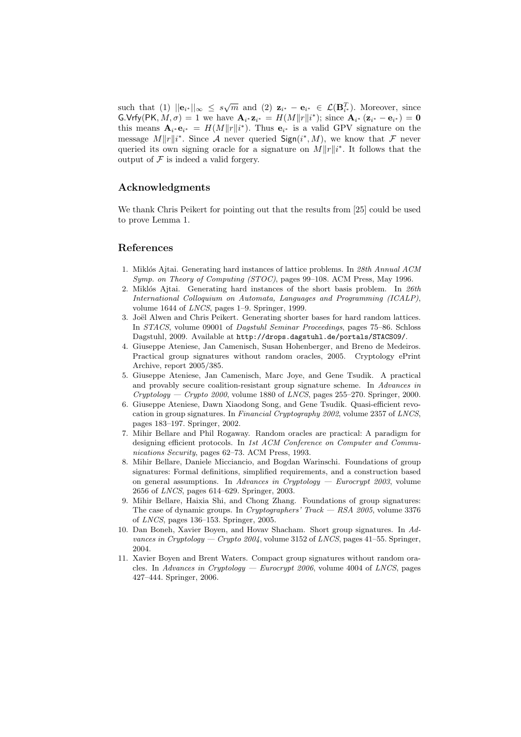such that (1)  $||\mathbf{e}_{i^*}||_{\infty} \leq s\sqrt{m}$  and (2)  $\mathbf{z}_{i^*} - \mathbf{e}_{i^*} \in \mathcal{L}(\mathbf{B}_{i^*}^T)$ . Moreover, since  $\mathsf{G.Vrfy}(\mathsf{PK}, M, \sigma) = 1$  we have  $\mathbf{A}_{i^*} \mathbf{z}_{i^*} = H(M||r||i^*);$  since  $\mathbf{A}_{i^*} (\mathbf{z}_{i^*} - \mathbf{e}_{i^*}) = \mathbf{0}$ this means  $\mathbf{A}_{i^*} \mathbf{e}_{i^*} = H(M||r||i^*)$ . Thus  $\mathbf{e}_{i^*}$  is a valid GPV signature on the message  $M||r||i^*$ . Since A never queried Sign( $i^*$ , M), we know that F never queried its own signing oracle for a signature on  $M||r||i^*$ . It follows that the output of  $\mathcal F$  is indeed a valid forgery.

# Acknowledgments

We thank Chris Peikert for pointing out that the results from [25] could be used to prove Lemma 1.

## References

- 1. Miklós Ajtai. Generating hard instances of lattice problems. In 28th Annual ACM Symp. on Theory of Computing (STOC), pages 99–108. ACM Press, May 1996.
- 2. Miklós Ajtai. Generating hard instances of the short basis problem. In  $26th$ International Colloquium on Automata, Languages and Programming (ICALP), volume 1644 of LNCS, pages 1–9. Springer, 1999.
- 3. Joël Alwen and Chris Peikert. Generating shorter bases for hard random lattices. In STACS, volume 09001 of Dagstuhl Seminar Proceedings, pages 75–86. Schloss Dagstuhl, 2009. Available at http://drops.dagstuhl.de/portals/STACS09/.
- 4. Giuseppe Ateniese, Jan Camenisch, Susan Hohenberger, and Breno de Medeiros. Practical group signatures without random oracles, 2005. Cryptology ePrint Archive, report 2005/385.
- 5. Giuseppe Ateniese, Jan Camenisch, Marc Joye, and Gene Tsudik. A practical and provably secure coalition-resistant group signature scheme. In Advances in  $Cryptology - Crypto 2000$ , volume 1880 of *LNCS*, pages 255–270. Springer, 2000.
- 6. Giuseppe Ateniese, Dawn Xiaodong Song, and Gene Tsudik. Quasi-efficient revocation in group signatures. In Financial Cryptography 2002, volume 2357 of LNCS, pages 183–197. Springer, 2002.
- 7. Mihir Bellare and Phil Rogaway. Random oracles are practical: A paradigm for designing efficient protocols. In 1st ACM Conference on Computer and Communications Security, pages 62–73. ACM Press, 1993.
- 8. Mihir Bellare, Daniele Micciancio, and Bogdan Warinschi. Foundations of group signatures: Formal definitions, simplified requirements, and a construction based on general assumptions. In Advances in Cryptology — Eurocrypt 2003, volume 2656 of LNCS, pages 614–629. Springer, 2003.
- 9. Mihir Bellare, Haixia Shi, and Chong Zhang. Foundations of group signatures: The case of dynamic groups. In Cryptographers' Track  $-$  RSA 2005, volume 3376 of LNCS, pages 136–153. Springer, 2005.
- 10. Dan Boneh, Xavier Boyen, and Hovav Shacham. Short group signatures. In Advances in Cryptology — Crypto 2004, volume 3152 of LNCS, pages 41–55. Springer, 2004.
- 11. Xavier Boyen and Brent Waters. Compact group signatures without random oracles. In Advances in Cryptology — Eurocrypt  $2006$ , volume 4004 of LNCS, pages 427–444. Springer, 2006.